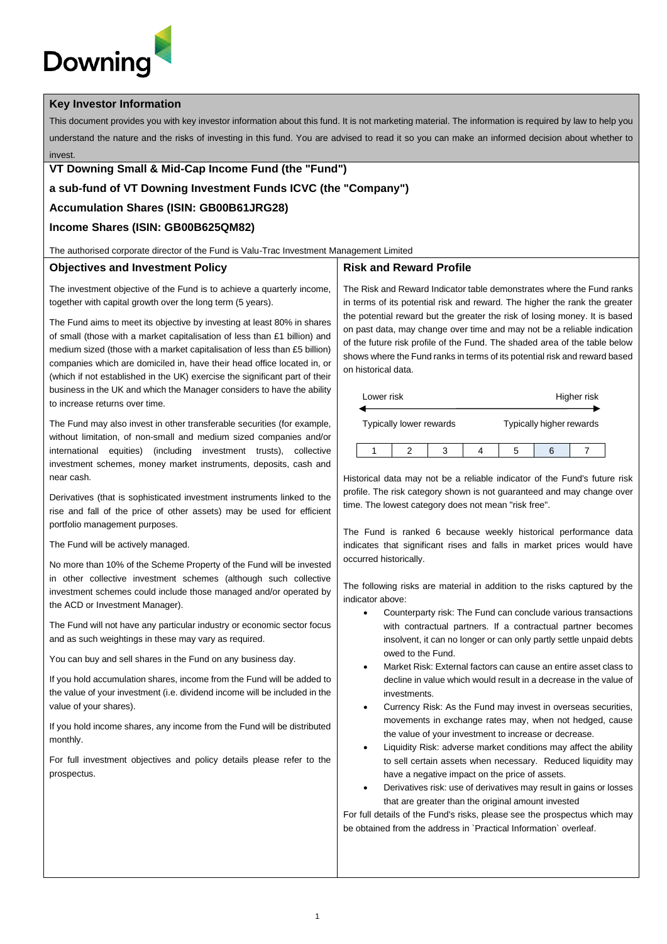# **Downing**

#### **Key Investor Information**

This document provides you with key investor information about this fund. It is not marketing material. The information is required by law to help you understand the nature and the risks of investing in this fund. You are advised to read it so you can make an informed decision about whether to invest.

## **VT Downing Small & Mid-Cap Income Fund (the "Fund")**

### **a sub-fund of VT Downing Investment Funds ICVC (the "Company")**

### **Accumulation Shares (ISIN: GB00B61JRG28)**

# **Income Shares (ISIN: GB00B625QM82)**

The authorised corporate director of the Fund is Valu-Trac Investment Management Limited

#### **Objectives and Investment Policy**

**Risk and Reward Profile**

The investment objective of the Fund is to achieve a quarterly income, together with capital growth over the long term (5 years).

The Fund aims to meet its objective by investing at least 80% in shares of small (those with a market capitalisation of less than £1 billion) and medium sized (those with a market capitalisation of less than £5 billion) companies which are domiciled in, have their head office located in, or (which if not established in the UK) exercise the significant part of their business in the UK and which the Manager considers to have the ability to increase returns over time.

The Fund may also invest in other transferable securities (for example, without limitation, of non-small and medium sized companies and/or international equities) (including investment trusts), collective investment schemes, money market instruments, deposits, cash and near cash.

Derivatives (that is sophisticated investment instruments linked to the rise and fall of the price of other assets) may be used for efficient portfolio management purposes.

The Fund will be actively managed.

No more than 10% of the Scheme Property of the Fund will be invested in other collective investment schemes (although such collective investment schemes could include those managed and/or operated by the ACD or Investment Manager).

The Fund will not have any particular industry or economic sector focus and as such weightings in these may vary as required.

You can buy and sell shares in the Fund on any business day.

If you hold accumulation shares, income from the Fund will be added to the value of your investment (i.e. dividend income will be included in the value of your shares).

If you hold income shares, any income from the Fund will be distributed monthly.

For full investment objectives and policy details please refer to the prospectus.

The Risk and Reward Indicator table demonstrates where the Fund ranks in terms of its potential risk and reward. The higher the rank the greater the potential reward but the greater the risk of losing money. It is based on past data, may change over time and may not be a reliable indication of the future risk profile of the Fund. The shaded area of the table below shows where the Fund ranks in terms of its potential risk and reward based on historical data.

| Lower risk |                         |  |                          |   | Higher risk |
|------------|-------------------------|--|--------------------------|---|-------------|
|            | Typically lower rewards |  | Typically higher rewards |   |             |
|            |                         |  |                          | 6 |             |

Historical data may not be a reliable indicator of the Fund's future risk profile. The risk category shown is not guaranteed and may change over time. The lowest category does not mean "risk free".

The Fund is ranked 6 because weekly historical performance data indicates that significant rises and falls in market prices would have occurred historically.

The following risks are material in addition to the risks captured by the indicator above:

- Counterparty risk: The Fund can conclude various transactions with contractual partners. If a contractual partner becomes insolvent, it can no longer or can only partly settle unpaid debts owed to the Fund.
- Market Risk: External factors can cause an entire asset class to decline in value which would result in a decrease in the value of investments.
- Currency Risk: As the Fund may invest in overseas securities, movements in exchange rates may, when not hedged, cause the value of your investment to increase or decrease.
- Liquidity Risk: adverse market conditions may affect the ability to sell certain assets when necessary. Reduced liquidity may have a negative impact on the price of assets.
- Derivatives risk: use of derivatives may result in gains or losses that are greater than the original amount invested

For full details of the Fund's risks, please see the prospectus which may be obtained from the address in `Practical Information` overleaf.